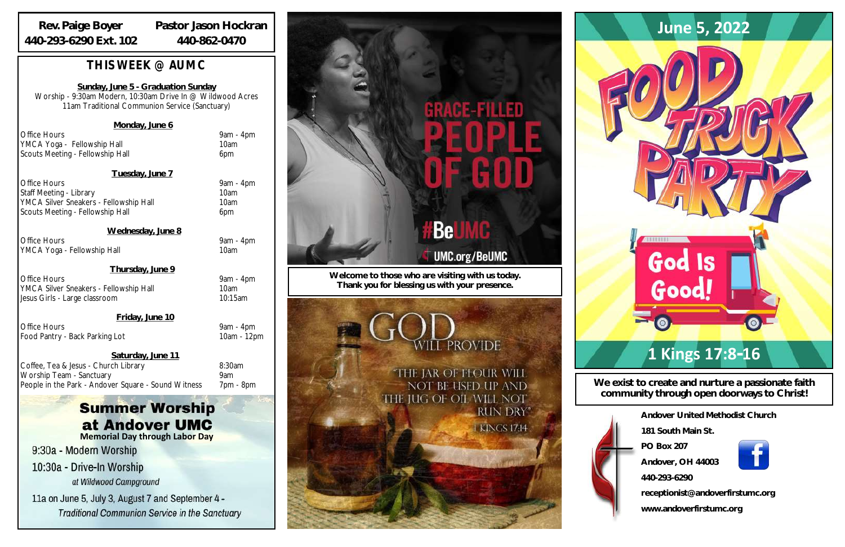| Andover United Methodist Church  |
|----------------------------------|
| 181 South Main St                |
| <b>PO Box 207</b>                |
| Andover, OH 44003                |
| 440-293-6290                     |
| receptionist@andoverfirstumc.org |
| www.andoverfirstumc.org          |

**We exist to create and nurture a passionate faith community through open doorways to Christ!**

**Welcome to those who are visiting with us today. Thank you for blessing us with your presence.**

**EPROVIDE** 

"THE JAR OF FLOUR WILL NOT BE USED UP AND THE JUG OF OIL WILL NOT **RUN DRY"** 

**I KINGS 1714** 

## *THIS WEEK @ AUMC*

**Sunday, June 5 - Graduation Sunday** Worship - 9:30am Modern, 10:30am Drive In @ Wildwood Acres 11am Traditional Communion Service (Sanctuary)

Office Hours 9am - 4pm YMCA Silver Sneakers - Fellowship Hall 10am Jesus Girls - Large classroom 10:15am

### **Monday, June 6**

Office Hours 9am - 4pm YMCA Yoga - Fellowship Hall 10am Scouts Meeting - Fellowship Hall 6pm

**Tuesday, June 7**

Office Hours 9am - 4pm Staff Meeting - Library 10am YMCA Silver Sneakers - Fellowship Hall 10am Scouts Meeting - Fellowship Hall 6pm

### **Summer Worship** at Andover UMC **Memorial Day through Labor Day**

9:30a - Modern Worship

10:30a - Drive-In Worship at Wildwood Campground

11a on June 5, July 3, August 7 and September 4 -**Traditional Communion Service in the Sanctuary** 

# GRACE-FILLED

# **Be UMC.org/BeUMC**

**Wednesday, June 8**

Office Hours 9am - 4pm YMCA Yoga - Fellowship Hall 10am

**Thursday, June 9**

### **Friday, June 10**

Office Hours 9am - 4pm Food Pantry - Back Parking Lot 10am - 12pm

**Saturday, June 11**

Coffee, Tea & Jesus - Church Library 6:30am Worship Team - Sanctuary 9am People in the Park - Andover Square - Sound Witness 7pm - 8pm

### **Rev. Paige Boyer 440-293-6290 Ext. 102**

**Pastor Jason Hockran 440-862-0470**